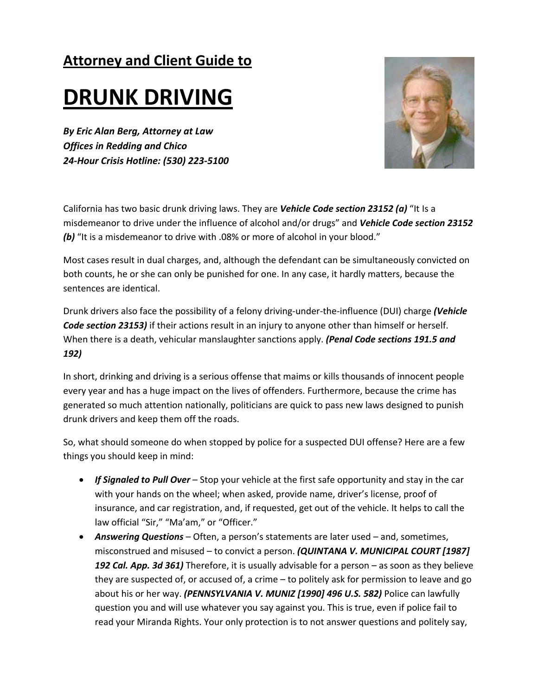## **Attorney and Client Guide to**

# **DRUNK DRIVING**

*By Eric Alan Berg, Attorney at Law Offices in Redding and Chico 24‐Hour Crisis Hotline: (530) 223‐5100* 



California has two basic drunk driving laws. They are *Vehicle Code section 23152 (a)* "It Is a misdemeanor to drive under the influence of alcohol and/or drugs" and *Vehicle Code section 23152 (b)* "It is a misdemeanor to drive with .08% or more of alcohol in your blood."

Most cases result in dual charges, and, although the defendant can be simultaneously convicted on both counts, he or she can only be punished for one. In any case, it hardly matters, because the sentences are identical.

Drunk drivers also face the possibility of a felony driving‐under‐the‐influence (DUI) charge *(Vehicle Code section 23153)* if their actions result in an injury to anyone other than himself or herself. When there is a death, vehicular manslaughter sanctions apply. *(Penal Code sections 191.5 and 192)*

In short, drinking and driving is a serious offense that maims or kills thousands of innocent people every year and has a huge impact on the lives of offenders. Furthermore, because the crime has generated so much attention nationally, politicians are quick to pass new laws designed to punish drunk drivers and keep them off the roads.

So, what should someone do when stopped by police for a suspected DUI offense? Here are a few things you should keep in mind:

- *If Signaled to Pull Over* Stop your vehicle at the first safe opportunity and stay in the car with your hands on the wheel; when asked, provide name, driver's license, proof of insurance, and car registration, and, if requested, get out of the vehicle. It helps to call the law official "Sir," "Ma'am," or "Officer."
- *Answering Questions* Often, a person's statements are later used and, sometimes, misconstrued and misused – to convict a person. *(QUINTANA V. MUNICIPAL COURT [1987] 192 Cal. App. 3d 361)* Therefore, it is usually advisable for a person – as soon as they believe they are suspected of, or accused of, a crime – to politely ask for permission to leave and go about his or her way. *(PENNSYLVANIA V. MUNIZ [1990] 496 U.S. 582)* Police can lawfully question you and will use whatever you say against you. This is true, even if police fail to read your Miranda Rights. Your only protection is to not answer questions and politely say,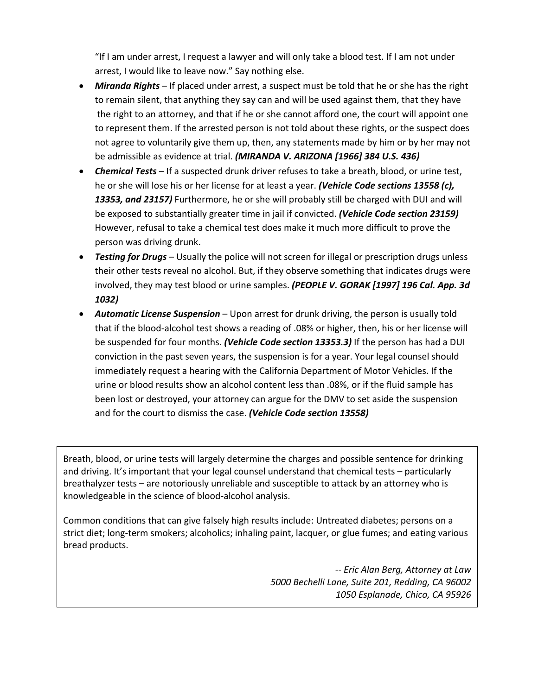"If I am under arrest, I request a lawyer and will only take a blood test. If I am not under arrest, I would like to leave now." Say nothing else.

- *Miranda Rights* If placed under arrest, a suspect must be told that he or she has the right to remain silent, that anything they say can and will be used against them, that they have the right to an attorney, and that if he or she cannot afford one, the court will appoint one to represent them. If the arrested person is not told about these rights, or the suspect does not agree to voluntarily give them up, then, any statements made by him or by her may not be admissible as evidence at trial. *(MIRANDA V. ARIZONA [1966] 384 U.S. 436)*
- *Chemical Tests* If a suspected drunk driver refuses to take a breath, blood, or urine test, he or she will lose his or her license for at least a year. *(Vehicle Code sections 13558 (c), 13353, and 23157)* Furthermore, he or she will probably still be charged with DUI and will be exposed to substantially greater time in jail if convicted. *(Vehicle Code section 23159)* However, refusal to take a chemical test does make it much more difficult to prove the person was driving drunk.
- *Testing for Drugs* Usually the police will not screen for illegal or prescription drugs unless their other tests reveal no alcohol. But, if they observe something that indicates drugs were involved, they may test blood or urine samples. *(PEOPLE V. GORAK [1997] 196 Cal. App. 3d 1032)*
- *Automatic License Suspension* Upon arrest for drunk driving, the person is usually told that if the blood‐alcohol test shows a reading of .08% or higher, then, his or her license will be suspended for four months. *(Vehicle Code section 13353.3)* If the person has had a DUI conviction in the past seven years, the suspension is for a year. Your legal counsel should immediately request a hearing with the California Department of Motor Vehicles. If the urine or blood results show an alcohol content less than .08%, or if the fluid sample has been lost or destroyed, your attorney can argue for the DMV to set aside the suspension and for the court to dismiss the case. *(Vehicle Code section 13558)*

Breath, blood, or urine tests will largely determine the charges and possible sentence for drinking and driving. It's important that your legal counsel understand that chemical tests – particularly breathalyzer tests – are notoriously unreliable and susceptible to attack by an attorney who is knowledgeable in the science of blood‐alcohol analysis.

Common conditions that can give falsely high results include: Untreated diabetes; persons on a strict diet; long‐term smokers; alcoholics; inhaling paint, lacquer, or glue fumes; and eating various bread products.

> *‐‐ Eric Alan Berg, Attorney at Law 5000 Bechelli Lane, Suite 201, Redding, CA 96002 1050 Esplanade, Chico, CA 95926*